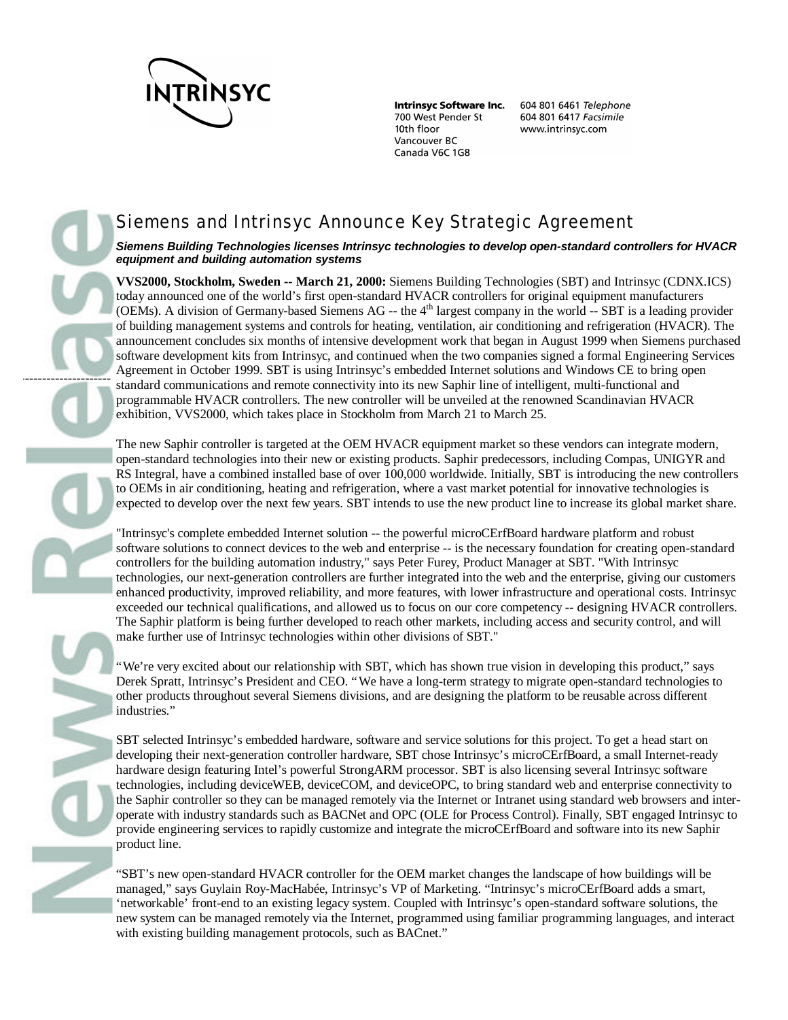

---------------------

**Intrinsyc Software Inc.** 700 West Pender St 10th floor Vancouver BC Canada V6C 1G8

604 801 6461 Telephone 604 801 6417 Facsimile www.intrinsyc.com

# Siemens and Intrinsyc Announce Key Strategic Agreement

## *Siemens Building Technologies licenses Intrinsyc technologies to develop open-standard controllers for HVACR equipment and building automation systems*

**VVS2000, Stockholm, Sweden -- March 21, 2000:** Siemens Building Technologies (SBT) and Intrinsyc (CDNX.ICS) today announced one of the world's first open-standard HVACR controllers for original equipment manufacturers (OEMs). A division of Germany-based Siemens AG  $-$  the  $4<sup>th</sup>$  largest company in the world  $-$  SBT is a leading provider of building management systems and controls for heating, ventilation, air conditioning and refrigeration (HVACR). The announcement concludes six months of intensive development work that began in August 1999 when Siemens purchased software development kits from Intrinsyc, and continued when the two companies signed a formal Engineering Services Agreement in October 1999. SBT is using Intrinsyc's embedded Internet solutions and Windows CE to bring open standard communications and remote connectivity into its new Saphir line of intelligent, multi-functional and programmable HVACR controllers. The new controller will be unveiled at the renowned Scandinavian HVACR exhibition, VVS2000, which takes place in Stockholm from March 21 to March 25.

The new Saphir controller is targeted at the OEM HVACR equipment market so these vendors can integrate modern, open-standard technologies into their new or existing products. Saphir predecessors, including Compas, UNIGYR and RS Integral, have a combined installed base of over 100,000 worldwide. Initially, SBT is introducing the new controllers to OEMs in air conditioning, heating and refrigeration, where a vast market potential for innovative technologies is expected to develop over the next few years. SBT intends to use the new product line to increase its global market share.

"Intrinsyc's complete embedded Internet solution -- the powerful microCErfBoard hardware platform and robust software solutions to connect devices to the web and enterprise -- is the necessary foundation for creating open-standard controllers for the building automation industry," says Peter Furey, Product Manager at SBT. "With Intrinsyc technologies, our next-generation controllers are further integrated into the web and the enterprise, giving our customers enhanced productivity, improved reliability, and more features, with lower infrastructure and operational costs. Intrinsyc exceeded our technical qualifications, and allowed us to focus on our core competency -- designing HVACR controllers. The Saphir platform is being further developed to reach other markets, including access and security control, and will make further use of Intrinsyc technologies within other divisions of SBT."

"We're very excited about our relationship with SBT, which has shown true vision in developing this product," says Derek Spratt, Intrinsyc's President and CEO. "We have a long-term strategy to migrate open-standard technologies to other products throughout several Siemens divisions, and are designing the platform to be reusable across different industries."

SBT selected Intrinsyc's embedded hardware, software and service solutions for this project. To get a head start on developing their next-generation controller hardware, SBT chose Intrinsyc's microCErfBoard, a small Internet-ready hardware design featuring Intel's powerful StrongARM processor. SBT is also licensing several Intrinsyc software technologies, including deviceWEB, deviceCOM, and deviceOPC, to bring standard web and enterprise connectivity to the Saphir controller so they can be managed remotely via the Internet or Intranet using standard web browsers and interoperate with industry standards such as BACNet and OPC (OLE for Process Control). Finally, SBT engaged Intrinsyc to provide engineering services to rapidly customize and integrate the microCErfBoard and software into its new Saphir product line.

"SBT's new open-standard HVACR controller for the OEM market changes the landscape of how buildings will be managed," says Guylain Roy-MacHabée, Intrinsyc's VP of Marketing. "Intrinsyc's microCErfBoard adds a smart, 'networkable' front-end to an existing legacy system. Coupled with Intrinsyc's open-standard software solutions, the new system can be managed remotely via the Internet, programmed using familiar programming languages, and interact with existing building management protocols, such as BACnet."